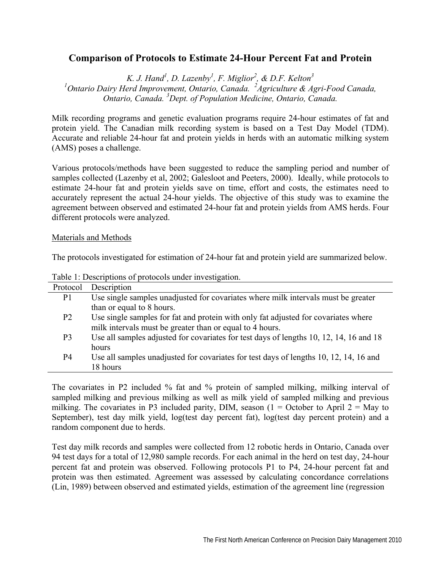# **Comparison of Protocols to Estimate 24-Hour Percent Fat and Protein**

K. J. Hand<sup>1</sup>, D. Lazenby<sup>1</sup>, F. Miglior<sup>2</sup>, & D.F. Kelton<sup>3</sup> <sup>1</sup> Ontario Dairy Herd Improvement, Ontario, Canada. <sup>2</sup> Agriculture & Agri-Food Canada, *Ontario, Canada. 3 Dept. of Population Medicine, Ontario, Canada.* 

Milk recording programs and genetic evaluation programs require 24-hour estimates of fat and protein yield. The Canadian milk recording system is based on a Test Day Model (TDM). Accurate and reliable 24-hour fat and protein yields in herds with an automatic milking system (AMS) poses a challenge.

Various protocols/methods have been suggested to reduce the sampling period and number of samples collected (Lazenby et al, 2002; Galesloot and Peeters, 2000). Ideally, while protocols to estimate 24-hour fat and protein yields save on time, effort and costs, the estimates need to accurately represent the actual 24-hour yields. The objective of this study was to examine the agreement between observed and estimated 24-hour fat and protein yields from AMS herds. Four different protocols were analyzed.

#### Materials and Methods

The protocols investigated for estimation of 24-hour fat and protein yield are summarized below.

| Protocol       | Description                                                                            |
|----------------|----------------------------------------------------------------------------------------|
| P <sub>1</sub> | Use single samples unadjusted for covariates where milk intervals must be greater      |
|                | than or equal to 8 hours.                                                              |
| P <sub>2</sub> | Use single samples for fat and protein with only fat adjusted for covariates where     |
|                | milk intervals must be greater than or equal to 4 hours.                               |
| P <sub>3</sub> | Use all samples adjusted for covariates for test days of lengths 10, 12, 14, 16 and 18 |
|                | hours                                                                                  |
| P4             | Use all samples unadjusted for covariates for test days of lengths 10, 12, 14, 16 and  |
|                | 18 hours                                                                               |
|                |                                                                                        |

Table 1: Descriptions of protocols under investigation.

The covariates in P2 included % fat and % protein of sampled milking, milking interval of sampled milking and previous milking as well as milk yield of sampled milking and previous milking. The covariates in P3 included parity, DIM, season  $(1 = October to April 2 = May to$ September), test day milk yield, log(test day percent fat), log(test day percent protein) and a random component due to herds.

Test day milk records and samples were collected from 12 robotic herds in Ontario, Canada over 94 test days for a total of 12,980 sample records. For each animal in the herd on test day, 24-hour percent fat and protein was observed. Following protocols P1 to P4, 24-hour percent fat and protein was then estimated. Agreement was assessed by calculating concordance correlations (Lin, 1989) between observed and estimated yields, estimation of the agreement line (regression